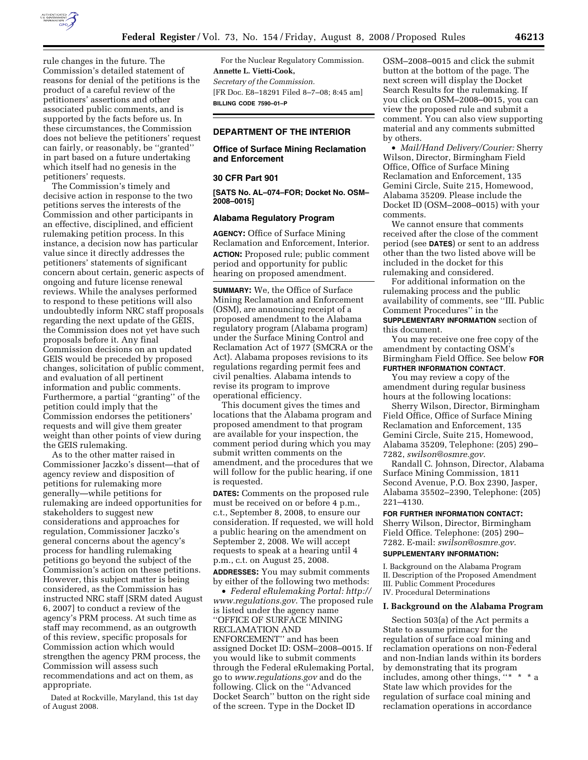

rule changes in the future. The Commission's detailed statement of reasons for denial of the petitions is the product of a careful review of the petitioners' assertions and other associated public comments, and is supported by the facts before us. In these circumstances, the Commission does not believe the petitioners' request can fairly, or reasonably, be ''granted'' in part based on a future undertaking which itself had no genesis in the petitioners' requests.

The Commission's timely and decisive action in response to the two petitions serves the interests of the Commission and other participants in an effective, disciplined, and efficient rulemaking petition process. In this instance, a decision now has particular value since it directly addresses the petitioners' statements of significant concern about certain, generic aspects of ongoing and future license renewal reviews. While the analyses performed to respond to these petitions will also undoubtedly inform NRC staff proposals regarding the next update of the GEIS, the Commission does not yet have such proposals before it. Any final Commission decisions on an updated GEIS would be preceded by proposed changes, solicitation of public comment, and evaluation of all pertinent information and public comments. Furthermore, a partial ''granting'' of the petition could imply that the Commission endorses the petitioners' requests and will give them greater weight than other points of view during the GEIS rulemaking.

As to the other matter raised in Commissioner Jaczko's dissent—that of agency review and disposition of petitions for rulemaking more generally—while petitions for rulemaking are indeed opportunities for stakeholders to suggest new considerations and approaches for regulation, Commissioner Jaczko's general concerns about the agency's process for handling rulemaking petitions go beyond the subject of the Commission's action on these petitions. However, this subject matter is being considered, as the Commission has instructed NRC staff [SRM dated August 6, 2007] to conduct a review of the agency's PRM process. At such time as staff may recommend, as an outgrowth of this review, specific proposals for Commission action which would strengthen the agency PRM process, the Commission will assess such recommendations and act on them, as appropriate.

Dated at Rockville, Maryland, this 1st day of August 2008.

For the Nuclear Regulatory Commission. **Annette L. Vietti-Cook,**  *Secretary of the Commission.*  [FR Doc. E8–18291 Filed 8–7–08; 8:45 am] **BILLING CODE 7590–01–P** 

# **DEPARTMENT OF THE INTERIOR**

## **Office of Surface Mining Reclamation and Enforcement**

## **30 CFR Part 901**

**[SATS No. AL–074–FOR; Docket No. OSM– 2008–0015]** 

## **Alabama Regulatory Program**

**AGENCY:** Office of Surface Mining Reclamation and Enforcement, Interior. **ACTION:** Proposed rule; public comment period and opportunity for public hearing on proposed amendment.

**SUMMARY:** We, the Office of Surface Mining Reclamation and Enforcement (OSM), are announcing receipt of a proposed amendment to the Alabama regulatory program (Alabama program) under the Surface Mining Control and Reclamation Act of 1977 (SMCRA or the Act). Alabama proposes revisions to its regulations regarding permit fees and civil penalties. Alabama intends to revise its program to improve operational efficiency.

This document gives the times and locations that the Alabama program and proposed amendment to that program are available for your inspection, the comment period during which you may submit written comments on the amendment, and the procedures that we will follow for the public hearing, if one is requested.

**DATES:** Comments on the proposed rule must be received on or before 4 p.m., c.t., September 8, 2008, to ensure our consideration. If requested, we will hold a public hearing on the amendment on September 2, 2008. We will accept requests to speak at a hearing until 4 p.m., c.t. on August 25, 2008.

**ADDRESSES:** You may submit comments by either of the following two methods:

• *Federal eRulemaking Portal: http:// www.regulations.gov*. The proposed rule is listed under the agency name ''OFFICE OF SURFACE MINING RECLAMATION AND ENFORCEMENT'' and has been assigned Docket ID: OSM–2008–0015. If you would like to submit comments through the Federal eRulemaking Portal, go to *www.regulations.gov* and do the following. Click on the ''Advanced Docket Search'' button on the right side of the screen. Type in the Docket ID

OSM–2008–0015 and click the submit button at the bottom of the page. The next screen will display the Docket Search Results for the rulemaking. If you click on OSM–2008–0015, you can view the proposed rule and submit a comment. You can also view supporting material and any comments submitted by others.

• *Mail/Hand Delivery/Courier:* Sherry Wilson, Director, Birmingham Field Office, Office of Surface Mining Reclamation and Enforcement, 135 Gemini Circle, Suite 215, Homewood, Alabama 35209. Please include the Docket ID (OSM–2008–0015) with your comments.

We cannot ensure that comments received after the close of the comment period (see **DATES**) or sent to an address other than the two listed above will be included in the docket for this rulemaking and considered.

For additional information on the rulemaking process and the public availability of comments, see ''III. Public Comment Procedures'' in the **SUPPLEMENTARY INFORMATION** section of this document.

You may receive one free copy of the amendment by contacting OSM's Birmingham Field Office. See below **FOR FURTHER INFORMATION CONTACT**.

You may review a copy of the amendment during regular business hours at the following locations:

Sherry Wilson, Director, Birmingham Field Office, Office of Surface Mining Reclamation and Enforcement, 135 Gemini Circle, Suite 215, Homewood, Alabama 35209, Telephone: (205) 290– 7282, *swilson@osmre.gov*.

Randall C. Johnson, Director, Alabama Surface Mining Commission, 1811 Second Avenue, P.O. Box 2390, Jasper, Alabama 35502–2390, Telephone: (205) 221–4130.

#### **FOR FURTHER INFORMATION CONTACT:**

Sherry Wilson, Director, Birmingham Field Office. Telephone: (205) 290– 7282. E-mail: *swilson@osmre.gov*.

# **SUPPLEMENTARY INFORMATION:**

I. Background on the Alabama Program II. Description of the Proposed Amendment III. Public Comment Procedures IV. Procedural Determinations

#### **I. Background on the Alabama Program**

Section 503(a) of the Act permits a State to assume primacy for the regulation of surface coal mining and reclamation operations on non-Federal and non-Indian lands within its borders by demonstrating that its program includes, among other things, ''\*  $*$  \*  $*$  a State law which provides for the regulation of surface coal mining and reclamation operations in accordance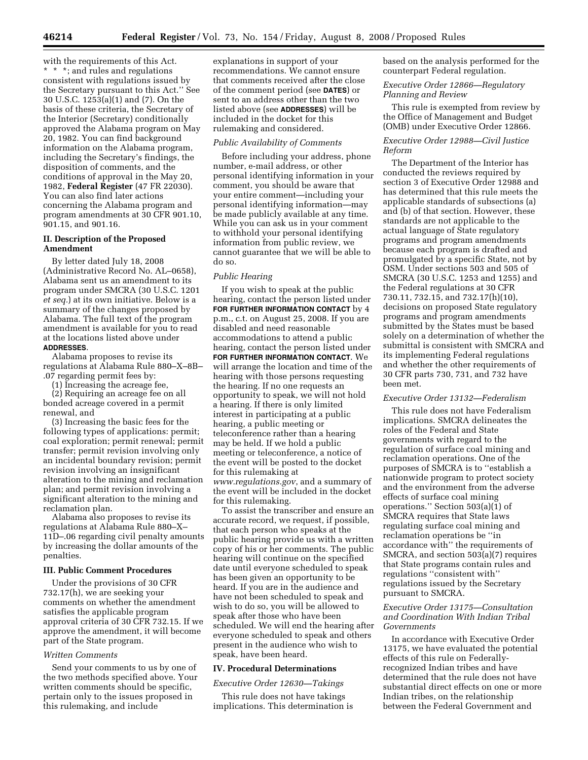with the requirements of this Act. \* \* \*; and rules and regulations consistent with regulations issued by the Secretary pursuant to this Act.'' See 30 U.S.C. 1253(a)(1) and (7). On the basis of these criteria, the Secretary of the Interior (Secretary) conditionally approved the Alabama program on May 20, 1982. You can find background information on the Alabama program, including the Secretary's findings, the disposition of comments, and the conditions of approval in the May 20, 1982, **Federal Register** (47 FR 22030). You can also find later actions concerning the Alabama program and program amendments at 30 CFR 901.10, 901.15, and 901.16.

## **II. Description of the Proposed Amendment**

By letter dated July 18, 2008 (Administrative Record No. AL–0658), Alabama sent us an amendment to its program under SMCRA (30 U.S.C. 1201 *et seq.*) at its own initiative. Below is a summary of the changes proposed by Alabama. The full text of the program amendment is available for you to read at the locations listed above under **ADDRESSES**.

Alabama proposes to revise its regulations at Alabama Rule 880–X–8B– .07 regarding permit fees by:

(1) Increasing the acreage fee,

(2) Requiring an acreage fee on all bonded acreage covered in a permit renewal, and

(3) Increasing the basic fees for the following types of applications: permit; coal exploration; permit renewal; permit transfer; permit revision involving only an incidental boundary revision; permit revision involving an insignificant alteration to the mining and reclamation plan; and permit revision involving a significant alteration to the mining and reclamation plan.

Alabama also proposes to revise its regulations at Alabama Rule 880–X– 11D–.06 regarding civil penalty amounts by increasing the dollar amounts of the penalties.

## **III. Public Comment Procedures**

Under the provisions of 30 CFR 732.17(h), we are seeking your comments on whether the amendment satisfies the applicable program approval criteria of 30 CFR 732.15. If we approve the amendment, it will become part of the State program.

## *Written Comments*

Send your comments to us by one of the two methods specified above. Your written comments should be specific, pertain only to the issues proposed in this rulemaking, and include

explanations in support of your recommendations. We cannot ensure that comments received after the close of the comment period (see **DATES**) or sent to an address other than the two listed above (see **ADDRESSES**) will be included in the docket for this rulemaking and considered.

## *Public Availability of Comments*

Before including your address, phone number, e-mail address, or other personal identifying information in your comment, you should be aware that your entire comment—including your personal identifying information—may be made publicly available at any time. While you can ask us in your comment to withhold your personal identifying information from public review, we cannot guarantee that we will be able to do so.

## *Public Hearing*

If you wish to speak at the public hearing, contact the person listed under **FOR FURTHER INFORMATION CONTACT** by 4 p.m., c.t. on August 25, 2008. If you are disabled and need reasonable accommodations to attend a public hearing, contact the person listed under **FOR FURTHER INFORMATION CONTACT**. We will arrange the location and time of the hearing with those persons requesting the hearing. If no one requests an opportunity to speak, we will not hold a hearing. If there is only limited interest in participating at a public hearing, a public meeting or teleconference rather than a hearing may be held. If we hold a public meeting or teleconference, a notice of the event will be posted to the docket for this rulemaking at *www.regulations.gov*, and a summary of the event will be included in the docket for this rulemaking.

To assist the transcriber and ensure an accurate record, we request, if possible, that each person who speaks at the public hearing provide us with a written copy of his or her comments. The public hearing will continue on the specified date until everyone scheduled to speak has been given an opportunity to be heard. If you are in the audience and have not been scheduled to speak and wish to do so, you will be allowed to speak after those who have been scheduled. We will end the hearing after everyone scheduled to speak and others present in the audience who wish to speak, have been heard.

## **IV. Procedural Determinations**

#### *Executive Order 12630—Takings*

This rule does not have takings implications. This determination is based on the analysis performed for the counterpart Federal regulation.

## *Executive Order 12866—Regulatory Planning and Review*

This rule is exempted from review by the Office of Management and Budget (OMB) under Executive Order 12866.

## *Executive Order 12988—Civil Justice Reform*

The Department of the Interior has conducted the reviews required by section 3 of Executive Order 12988 and has determined that this rule meets the applicable standards of subsections (a) and (b) of that section. However, these standards are not applicable to the actual language of State regulatory programs and program amendments because each program is drafted and promulgated by a specific State, not by OSM. Under sections 503 and 505 of SMCRA (30 U.S.C. 1253 and 1255) and the Federal regulations at 30 CFR 730.11, 732.15, and 732.17(h)(10), decisions on proposed State regulatory programs and program amendments submitted by the States must be based solely on a determination of whether the submittal is consistent with SMCRA and its implementing Federal regulations and whether the other requirements of 30 CFR parts 730, 731, and 732 have been met.

## *Executive Order 13132—Federalism*

This rule does not have Federalism implications. SMCRA delineates the roles of the Federal and State governments with regard to the regulation of surface coal mining and reclamation operations. One of the purposes of SMCRA is to ''establish a nationwide program to protect society and the environment from the adverse effects of surface coal mining operations.'' Section 503(a)(1) of SMCRA requires that State laws regulating surface coal mining and reclamation operations be ''in accordance with'' the requirements of SMCRA, and section 503(a)(7) requires that State programs contain rules and regulations ''consistent with'' regulations issued by the Secretary pursuant to SMCRA.

## *Executive Order 13175—Consultation and Coordination With Indian Tribal Governments*

In accordance with Executive Order 13175, we have evaluated the potential effects of this rule on Federallyrecognized Indian tribes and have determined that the rule does not have substantial direct effects on one or more Indian tribes, on the relationship between the Federal Government and